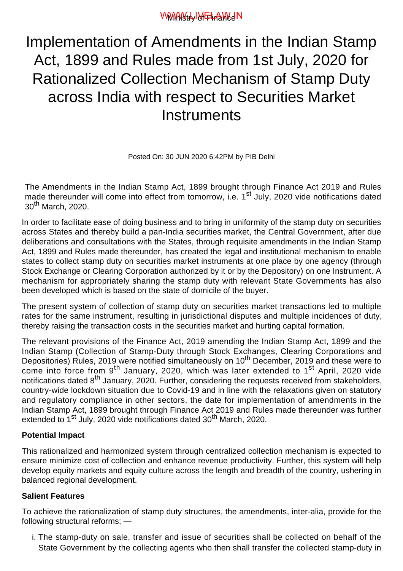# WWW.HylYFinaWeN

Implementation of Amendments in the Indian Stamp Act, 1899 and Rules made from 1st July, 2020 for Rationalized Collection Mechanism of Stamp Duty across India with respect to Securities Market **Instruments** 

Posted On: 30 JUN 2020 6:42PM by PIB Delhi

The Amendments in the Indian Stamp Act, 1899 brought through Finance Act 2019 and Rules made thereunder will come into effect from tomorrow, i.e. 1<sup>st</sup> July, 2020 vide notifications dated 30th March, 2020.

In order to facilitate ease of doing business and to bring in uniformity of the stamp duty on securities across States and thereby build a pan-India securities market, the Central Government, after due deliberations and consultations with the States, through requisite amendments in the Indian Stamp Act, 1899 and Rules made thereunder, has created the legal and institutional mechanism to enable states to collect stamp duty on securities market instruments at one place by one agency (through Stock Exchange or Clearing Corporation authorized by it or by the Depository) on one Instrument. A mechanism for appropriately sharing the stamp duty with relevant State Governments has also been developed which is based on the state of domicile of the buyer.

The present system of collection of stamp duty on securities market transactions led to multiple rates for the same instrument, resulting in jurisdictional disputes and multiple incidences of duty, thereby raising the transaction costs in the securities market and hurting capital formation.

The relevant provisions of the Finance Act, 2019 amending the Indian Stamp Act, 1899 and the Indian Stamp (Collection of Stamp-Duty through Stock Exchanges, Clearing Corporations and Depositories) Rules, 2019 were notified simultaneously on 10<sup>th</sup> December, 2019 and these were to come into force from 9<sup>th</sup> January, 2020, which was later extended to 1<sup>st</sup> April, 2020 vide notifications dated 8<sup>th</sup> January, 2020. Further, considering the requests received from stakeholders, country-wide lockdown situation due to Covid-19 and in line with the relaxations given on statutory and regulatory compliance in other sectors, the date for implementation of amendments in the Indian Stamp Act, 1899 brought through Finance Act 2019 and Rules made thereunder was further extended to 1<sup>st</sup> July, 2020 vide notifications dated 30<sup>th</sup> March, 2020.

### **Potential Impact**

This rationalized and harmonized system through centralized collection mechanism is expected to ensure minimize cost of collection and enhance revenue productivity. Further, this system will help develop equity markets and equity culture across the length and breadth of the country, ushering in balanced regional development.

## **Salient Features**

To achieve the rationalization of stamp duty structures, the amendments, inter-alia, provide for the following structural reforms; —

i. The stamp-duty on sale, transfer and issue of securities shall be collected on behalf of the State Government by the collecting agents who then shall transfer the collected stamp-duty in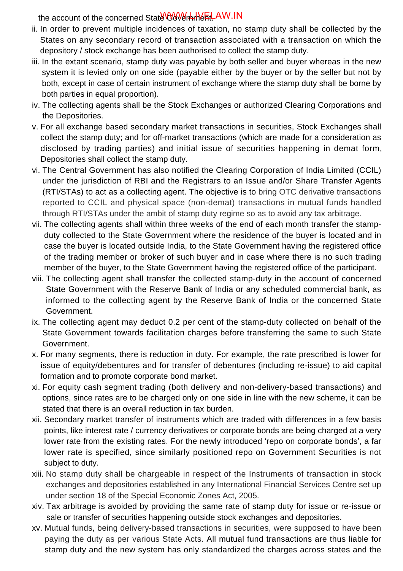the account of the concerned State^Ow\/\*rhneh\_AW.IN

- ii. In order to prevent multiple incidences of taxation, no stamp duty shall be collected by the States on any secondary record of transaction associated with a transaction on which the depository / stock exchange has been authorised to collect the stamp duty.
- iii. In the extant scenario, stamp duty was payable by both seller and buyer whereas in the new system it is levied only on one side (payable either by the buyer or by the seller but not by both, except in case of certain instrument of exchange where the stamp duty shall be borne by both parties in equal proportion).
- iv. The collecting agents shall be the Stock Exchanges or authorized Clearing Corporations and the Depositories.
- v. For all exchange based secondary market transactions in securities, Stock Exchanges shall collect the stamp duty; and for off-market transactions (which are made for a consideration as disclosed by trading parties) and initial issue of securities happening in demat form, Depositories shall collect the stamp duty.
- The Central Government has also notified the Clearing Corporation of India Limited (CCIL) vi. under the jurisdiction of RBI and the Registrars to an Issue and/or Share Transfer Agents (RTI/STAs) to act as a collecting agent. The objective is to bring OTC derivative transactions reported to CCIL and physical space (non-demat) transactions in mutual funds handled through RTI/STAs under the ambit of stamp duty regime so as to avoid any tax arbitrage.
- The collecting agents shall within three weeks of the end of each month transfer the stamp-vii. duty collected to the State Government where the residence of the buyer is located and in case the buyer is located outside India, to the State Government having the registered office of the trading member or broker of such buyer and in case where there is no such trading member of the buyer, to the State Government having the registered office of the participant.
- viii. The collecting agent shall transfer the collected stamp-duty in the account of concerned State Government with the Reserve Bank of India or any scheduled commercial bank, as informed to the collecting agent by the Reserve Bank of India or the concerned State Government.
- The collecting agent may deduct 0.2 per cent of the stamp-duty collected on behalf of the ix. State Government towards facilitation charges before transferring the same to such State Government.
- x. For many segments, there is reduction in duty. For example, the rate prescribed is lower for issue of equity/debentures and for transfer of debentures (including re-issue) to aid capital formation and to promote corporate bond market.
- For equity cash segment trading (both delivery and non-delivery-based transactions) and xi. options, since rates are to be charged only on one side in line with the new scheme, it can be stated that there is an overall reduction in tax burden.
- Secondary market transfer of instruments which are traded with differences in a few basis xii. points, like interest rate / currency derivatives or corporate bonds are being charged at a very lower rate from the existing rates. For the newly introduced 'repo on corporate bonds', a far lower rate is specified, since similarly positioned repo on Government Securities is not subject to duty.
- xiii. No stamp duty shall be chargeable in respect of the Instruments of transaction in stock exchanges and depositories established in any International Financial Services Centre set up under section 18 of the Special Economic Zones Act, 2005.
- Tax arbitrage is avoided by providing the same rate of stamp duty for issue or re-issue or xiv. sale or transfer of securities happening outside stock exchanges and depositories.
- Mutual funds, being delivery-based transactions in securities, were supposed to have been xv. paying the duty as per various State Acts. All mutual fund transactions are thus liable for stamp duty and the new system has only standardized the charges across states and the